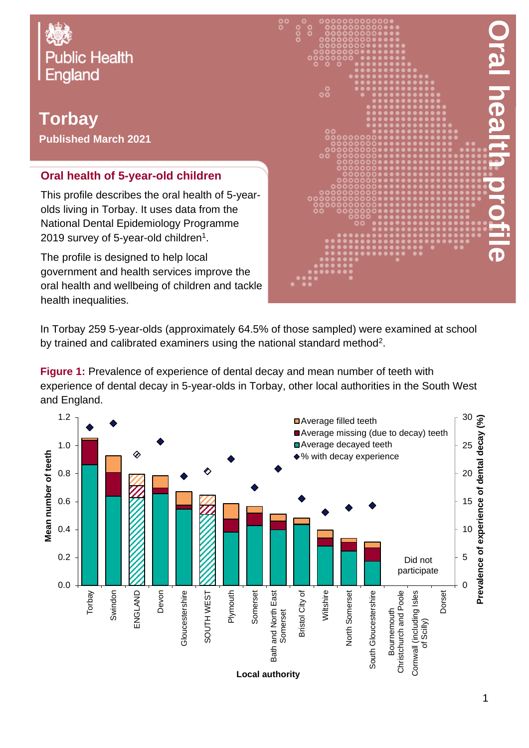

**Torbay Published March 2021**

## **Oral health of 5-year-old children**

This profile describes the oral health of 5-yearolds living in Torbay. It uses data from the National Dental Epidemiology Programme 2019 survey of 5-year-old children $^{\rm 1}.$ 

The profile is designed to help local government and health services improve the oral health and wellbeing of children and tackle health inequalities.



In Torbay 259 5-year-olds (approximately 64.5% of those sampled) were examined at school by trained and calibrated examiners using the national standard method<sup>2</sup>.

**Figure 1:** Prevalence of experience of dental decay and mean number of teeth with experience of dental decay in 5-year-olds in Torbay, other local authorities in the South West and England.

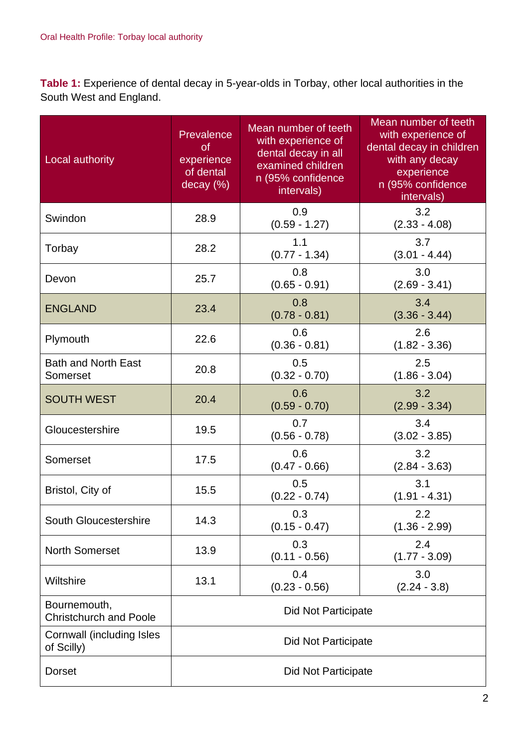**Table 1:** Experience of dental decay in 5-year-olds in Torbay, other local authorities in the South West and England.

| Local authority                               | Prevalence<br><b>of</b><br>experience<br>of dental<br>decay (%) | Mean number of teeth<br>with experience of<br>dental decay in all<br>examined children<br>n (95% confidence<br>intervals) | Mean number of teeth<br>with experience of<br>dental decay in children<br>with any decay<br>experience<br>n (95% confidence<br>intervals) |  |
|-----------------------------------------------|-----------------------------------------------------------------|---------------------------------------------------------------------------------------------------------------------------|-------------------------------------------------------------------------------------------------------------------------------------------|--|
| Swindon                                       | 28.9                                                            | 0.9<br>$(0.59 - 1.27)$                                                                                                    | 3.2<br>$(2.33 - 4.08)$                                                                                                                    |  |
| Torbay                                        | 28.2                                                            | 1.1<br>$(0.77 - 1.34)$                                                                                                    | 3.7<br>$(3.01 - 4.44)$                                                                                                                    |  |
| Devon                                         | 25.7                                                            | 0.8<br>$(0.65 - 0.91)$                                                                                                    | 3.0<br>$(2.69 - 3.41)$                                                                                                                    |  |
| <b>ENGLAND</b>                                | 23.4                                                            | 0.8<br>$(0.78 - 0.81)$                                                                                                    | 3.4<br>$(3.36 - 3.44)$                                                                                                                    |  |
| Plymouth                                      | 22.6                                                            | 0.6<br>$(0.36 - 0.81)$                                                                                                    | 2.6<br>$(1.82 - 3.36)$                                                                                                                    |  |
| <b>Bath and North East</b><br>Somerset        | 20.8                                                            | 0.5<br>$(0.32 - 0.70)$                                                                                                    | 2.5<br>$(1.86 - 3.04)$                                                                                                                    |  |
| <b>SOUTH WEST</b>                             | 20.4                                                            | 0.6<br>$(0.59 - 0.70)$                                                                                                    | 3.2<br>$(2.99 - 3.34)$                                                                                                                    |  |
| Gloucestershire                               | 19.5                                                            | 0.7<br>$(0.56 - 0.78)$                                                                                                    | 3.4<br>$(3.02 - 3.85)$                                                                                                                    |  |
| Somerset                                      | 17.5                                                            | 0.6<br>$(0.47 - 0.66)$                                                                                                    | 3.2<br>$(2.84 - 3.63)$                                                                                                                    |  |
| Bristol, City of                              | 15.5                                                            | 0.5<br>$(0.22 - 0.74)$                                                                                                    | 3.1<br>$(1.91 - 4.31)$                                                                                                                    |  |
| South Gloucestershire                         | 14.3                                                            | 0.3<br>$(0.15 - 0.47)$                                                                                                    | 2.2<br>$(1.36 - 2.99)$                                                                                                                    |  |
| <b>North Somerset</b>                         | 13.9                                                            | 0.3<br>$(0.11 - 0.56)$                                                                                                    | 2.4<br>$(1.77 - 3.09)$                                                                                                                    |  |
| Wiltshire                                     | 13.1                                                            | 0.4<br>$(0.23 - 0.56)$                                                                                                    | 3.0<br>$(2.24 - 3.8)$                                                                                                                     |  |
| Bournemouth,<br><b>Christchurch and Poole</b> | <b>Did Not Participate</b>                                      |                                                                                                                           |                                                                                                                                           |  |
| Cornwall (including Isles<br>of Scilly)       | Did Not Participate                                             |                                                                                                                           |                                                                                                                                           |  |
| <b>Dorset</b>                                 | Did Not Participate                                             |                                                                                                                           |                                                                                                                                           |  |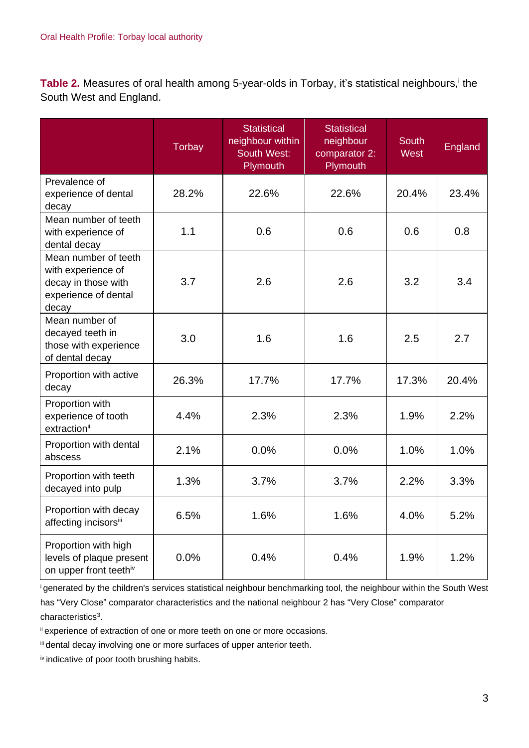Table 2. Measures of oral health among 5-year-olds in Torbay, it's statistical neighbours,<sup>i</sup> the South West and England.

|                                                                                                    | <b>Torbay</b> | <b>Statistical</b><br>neighbour within<br><b>South West:</b><br>Plymouth | <b>Statistical</b><br>neighbour<br>comparator 2:<br>Plymouth | <b>South</b><br>West | England |
|----------------------------------------------------------------------------------------------------|---------------|--------------------------------------------------------------------------|--------------------------------------------------------------|----------------------|---------|
| Prevalence of<br>experience of dental<br>decay                                                     | 28.2%         | 22.6%                                                                    | 22.6%                                                        | 20.4%                | 23.4%   |
| Mean number of teeth<br>with experience of<br>dental decay                                         | 1.1           | 0.6                                                                      | 0.6                                                          | 0.6                  | 0.8     |
| Mean number of teeth<br>with experience of<br>decay in those with<br>experience of dental<br>decay | 3.7           | 2.6                                                                      | 2.6                                                          | 3.2                  | 3.4     |
| Mean number of<br>decayed teeth in<br>those with experience<br>of dental decay                     | 3.0           | 1.6                                                                      | 1.6                                                          | 2.5                  | 2.7     |
| Proportion with active<br>decay                                                                    | 26.3%         | 17.7%                                                                    | 17.7%                                                        | 17.3%                | 20.4%   |
| Proportion with<br>experience of tooth<br>extraction <sup>ii</sup>                                 | 4.4%          | 2.3%                                                                     | 2.3%                                                         | 1.9%                 | 2.2%    |
| Proportion with dental<br>abscess                                                                  | 2.1%          | 0.0%                                                                     | 0.0%                                                         | 1.0%                 | 1.0%    |
| Proportion with teeth<br>decayed into pulp                                                         | 1.3%          | 3.7%                                                                     | 3.7%                                                         | 2.2%                 | 3.3%    |
| Proportion with decay<br>affecting incisorsiii                                                     | 6.5%          | 1.6%                                                                     | 1.6%                                                         | 4.0%                 | 5.2%    |
| Proportion with high<br>levels of plaque present<br>on upper front teethiv                         | 0.0%          | 0.4%                                                                     | 0.4%                                                         | 1.9%                 | 1.2%    |

<sup>i</sup>generated by the children's services statistical neighbour benchmarking tool, the neighbour within the South West has "Very Close" comparator characteristics and the national neighbour 2 has "Very Close" comparator characteristics<sup>3</sup>.

ii experience of extraction of one or more teeth on one or more occasions.

iii dental decay involving one or more surfaces of upper anterior teeth.

iv indicative of poor tooth brushing habits.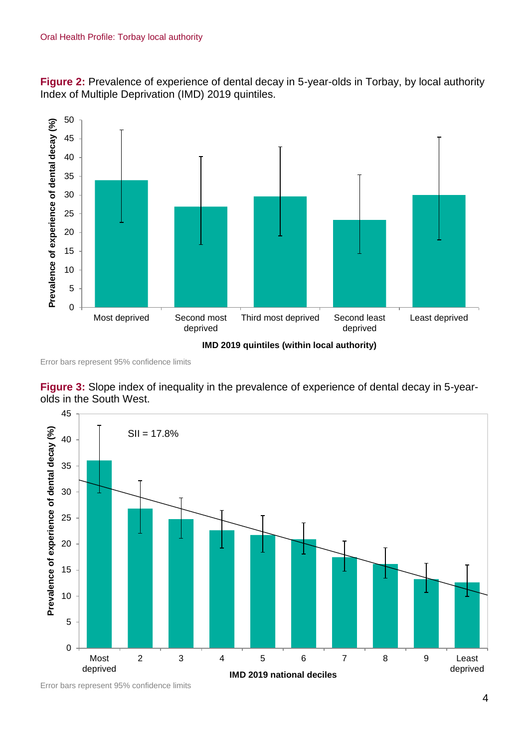**Figure 2:** Prevalence of experience of dental decay in 5-year-olds in Torbay, by local authority Index of Multiple Deprivation (IMD) 2019 quintiles.



Error bars represent 95% confidence limits

**Figure 3:** Slope index of inequality in the prevalence of experience of dental decay in 5-yearolds in the South West.



Error bars represent 95% confidence limits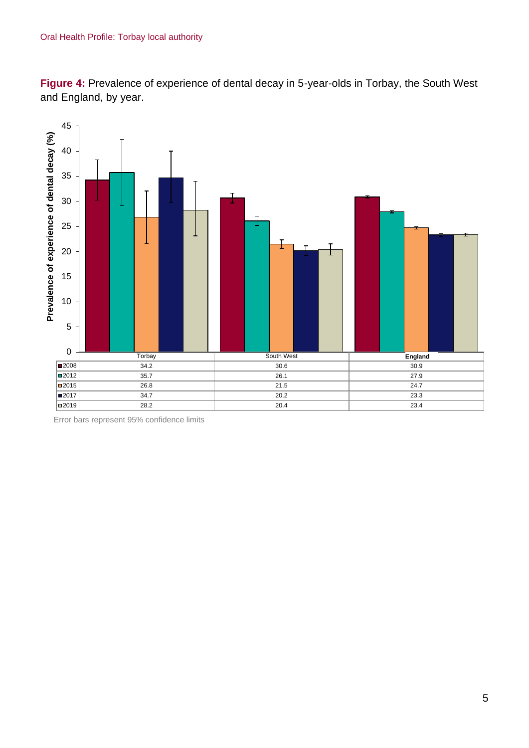**Figure 4:** Prevalence of experience of dental decay in 5-year-olds in Torbay, the South West and England, by year.



Error bars represent 95% confidence limits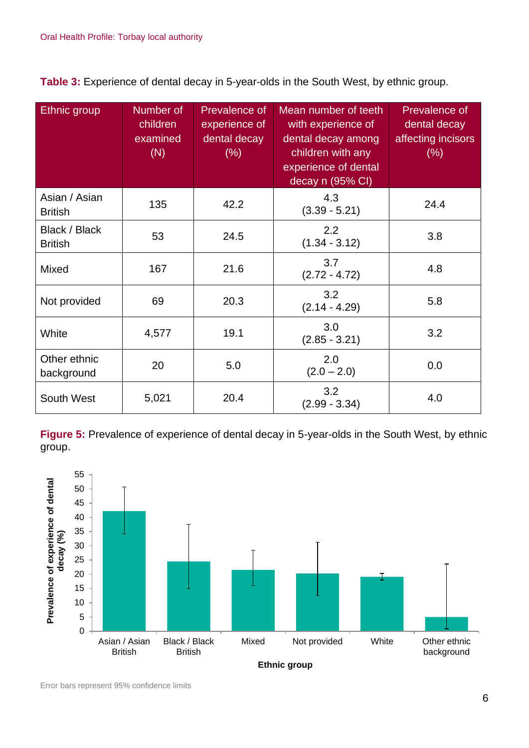**Table 3:** Experience of dental decay in 5-year-olds in the South West, by ethnic group.

| Ethnic group                    | Number of<br>children<br>examined<br>(N) | Prevalence of<br>experience of<br>dental decay<br>(% ) | Mean number of teeth<br>with experience of<br>dental decay among<br>children with any<br>experience of dental<br>decay n (95% CI) | Prevalence of<br>dental decay<br>affecting incisors<br>(% ) |
|---------------------------------|------------------------------------------|--------------------------------------------------------|-----------------------------------------------------------------------------------------------------------------------------------|-------------------------------------------------------------|
| Asian / Asian<br><b>British</b> | 135                                      | 42.2                                                   | 4.3<br>$(3.39 - 5.21)$                                                                                                            | 24.4                                                        |
| Black / Black<br><b>British</b> | 53                                       | 24.5                                                   | 2.2<br>$(1.34 - 3.12)$                                                                                                            | 3.8                                                         |
| <b>Mixed</b>                    | 167                                      | 21.6                                                   | 3.7<br>$(2.72 - 4.72)$                                                                                                            | 4.8                                                         |
| Not provided                    | 69                                       | 20.3                                                   | 3.2<br>$(2.14 - 4.29)$                                                                                                            | 5.8                                                         |
| White                           | 4,577                                    | 19.1                                                   | 3.0<br>$(2.85 - 3.21)$                                                                                                            | 3.2                                                         |
| Other ethnic<br>background      | 20                                       | 5.0                                                    | 2.0<br>$(2.0 - 2.0)$                                                                                                              | 0.0                                                         |
| South West                      | 5,021                                    | 20.4                                                   | 3.2<br>$(2.99 - 3.34)$                                                                                                            | 4.0                                                         |

**Figure 5:** Prevalence of experience of dental decay in 5-year-olds in the South West, by ethnic group.



Error bars represent 95% confidence limits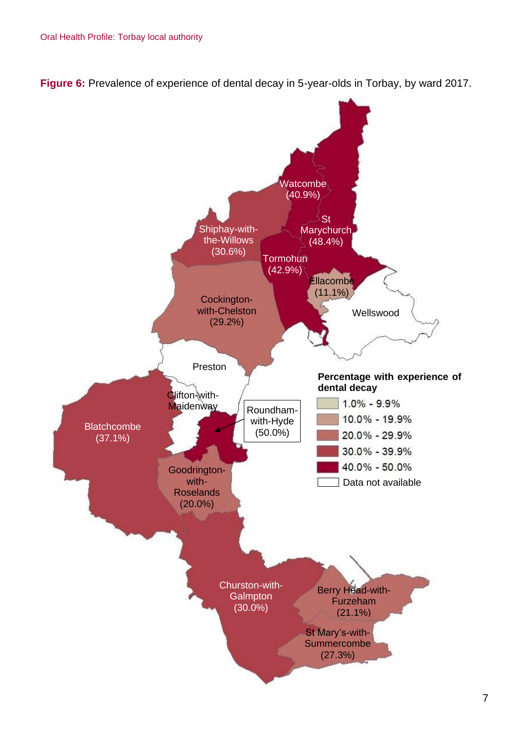**Figure 6:** Prevalence of experience of dental decay in 5-year-olds in Torbay, by ward 2017.

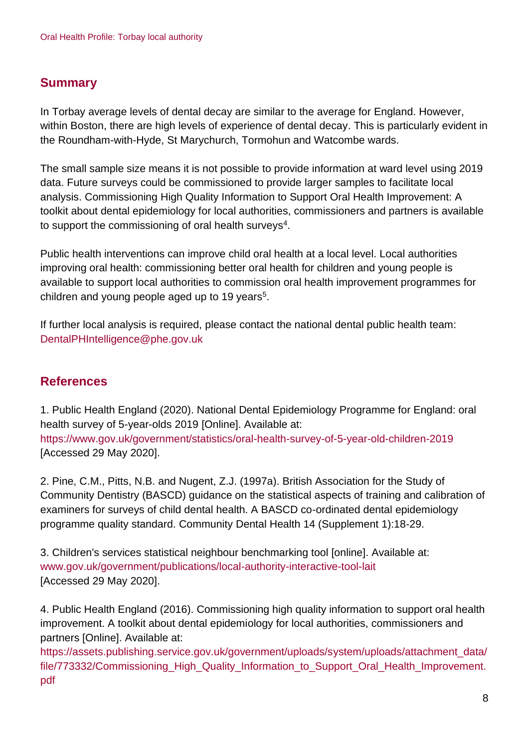## **Summary**

In Torbay average levels of dental decay are similar to the average for England. However, within Boston, there are high levels of experience of dental decay. This is particularly evident in the Roundham-with-Hyde, St Marychurch, Tormohun and Watcombe wards.

The small sample size means it is not possible to provide information at ward level using 2019 data. Future surveys could be commissioned to provide larger samples to facilitate local analysis. Commissioning High Quality Information to Support Oral Health Improvement: A toolkit about dental epidemiology for local authorities, commissioners and partners is available to support the commissioning of oral health surveys $^4$ .

Public health interventions can improve child oral health at a local level. Local authorities improving oral health: commissioning better oral health for children and young people is available to support local authorities to commission oral health improvement programmes for children and young people aged up to 19 years<sup>5</sup>.

If further local analysis is required, please contact the national dental public health team: DentalPHIntelligence@phe.gov.uk

## **References**

1. Public Health England (2020). National Dental Epidemiology Programme for England: oral health survey of 5-year-olds 2019 [Online]. Available at: <https://www.gov.uk/government/statistics/oral-health-survey-of-5-year-old-children-2019> [Accessed 29 May 2020].

2. Pine, C.M., Pitts, N.B. and Nugent, Z.J. (1997a). British Association for the Study of Community Dentistry (BASCD) guidance on the statistical aspects of training and calibration of examiners for surveys of child dental health. A BASCD co-ordinated dental epidemiology programme quality standard. Community Dental Health 14 (Supplement 1):18-29.

3. Children's services statistical neighbour benchmarking tool [online]. Available at: [www.gov.uk/government/publications/local-authority-interactive-tool-lait](http://www.gov.uk/government/publications/local-authority-interactive-tool-lait) [Accessed 29 May 2020].

4. Public Health England (2016). Commissioning high quality information to support oral health improvement. A toolkit about dental epidemiology for local authorities, commissioners and partners [Online]. Available at:

[https://assets.publishing.service.gov.uk/government/uploads/system/uploads/attachment\\_data/](https://assets.publishing.service.gov.uk/government/uploads/system/uploads/attachment_data/file/773332/Commissioning_High_Quality_Information_to_Support_Oral_Health_Improvement.pdf) [file/773332/Commissioning\\_High\\_Quality\\_Information\\_to\\_Support\\_Oral\\_Health\\_Improvement.](https://assets.publishing.service.gov.uk/government/uploads/system/uploads/attachment_data/file/773332/Commissioning_High_Quality_Information_to_Support_Oral_Health_Improvement.pdf) [pdf](https://assets.publishing.service.gov.uk/government/uploads/system/uploads/attachment_data/file/773332/Commissioning_High_Quality_Information_to_Support_Oral_Health_Improvement.pdf)